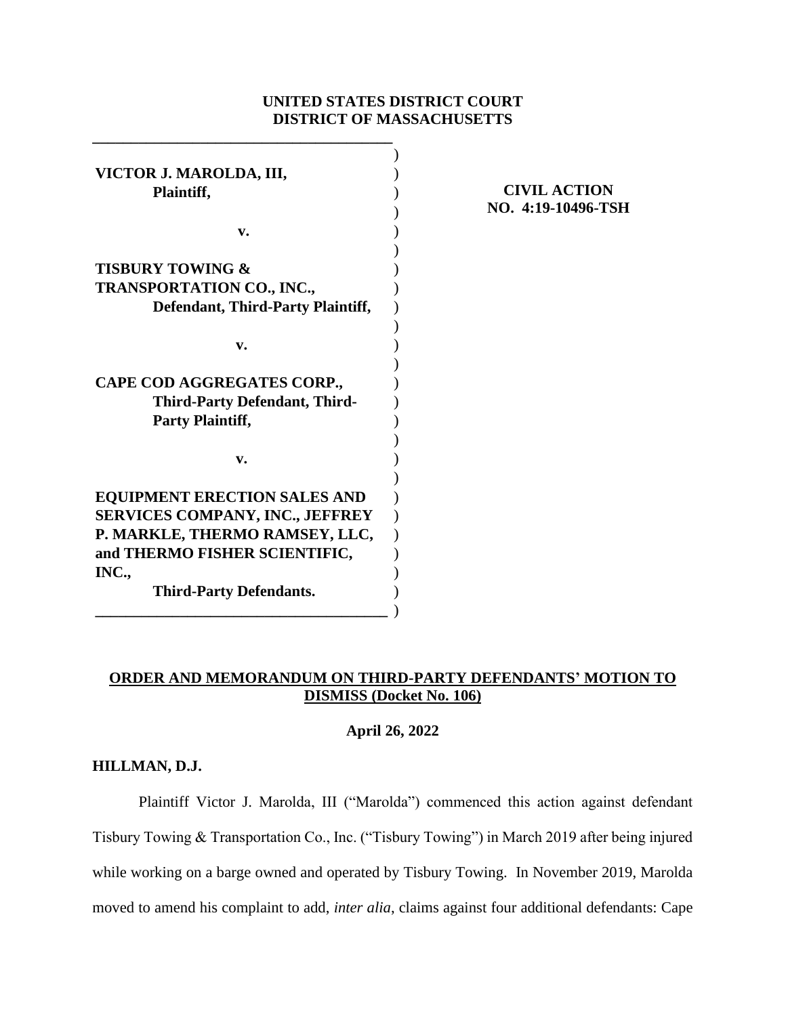# **UNITED STATES DISTRICT COURT DISTRICT OF MASSACHUSETTS**

| VICTOR J. MAROLDA, III,                  |  |
|------------------------------------------|--|
| Plaintiff,                               |  |
|                                          |  |
| v.                                       |  |
|                                          |  |
| <b>TISBURY TOWING &amp;</b>              |  |
| <b>TRANSPORTATION CO., INC.,</b>         |  |
| <b>Defendant, Third-Party Plaintiff,</b> |  |
|                                          |  |
| v.                                       |  |
|                                          |  |
| CAPE COD AGGREGATES CORP.,               |  |
| <b>Third-Party Defendant, Third-</b>     |  |
| <b>Party Plaintiff,</b>                  |  |
|                                          |  |
| v.                                       |  |
|                                          |  |
| <b>EQUIPMENT ERECTION SALES AND</b>      |  |
| <b>SERVICES COMPANY, INC., JEFFREY</b>   |  |
| P. MARKLE, THERMO RAMSEY, LLC,           |  |
| and THERMO FISHER SCIENTIFIC,            |  |
| INC.,                                    |  |
| <b>Third-Party Defendants.</b>           |  |
|                                          |  |

**\_\_\_\_\_\_\_\_\_\_\_\_\_\_\_\_\_\_\_\_\_\_\_\_\_\_\_\_\_\_\_\_\_\_\_\_\_\_\_**

## **CIVIL ACTION NO. 4:19-10496-TSH**

# **ORDER AND MEMORANDUM ON THIRD-PARTY DEFENDANTS' MOTION TO DISMISS (Docket No. 106)**

## **April 26, 2022**

## **HILLMAN, D.J.**

Plaintiff Victor J. Marolda, III ("Marolda") commenced this action against defendant Tisbury Towing & Transportation Co., Inc. ("Tisbury Towing") in March 2019 after being injured while working on a barge owned and operated by Tisbury Towing. In November 2019, Marolda moved to amend his complaint to add, *inter alia*, claims against four additional defendants: Cape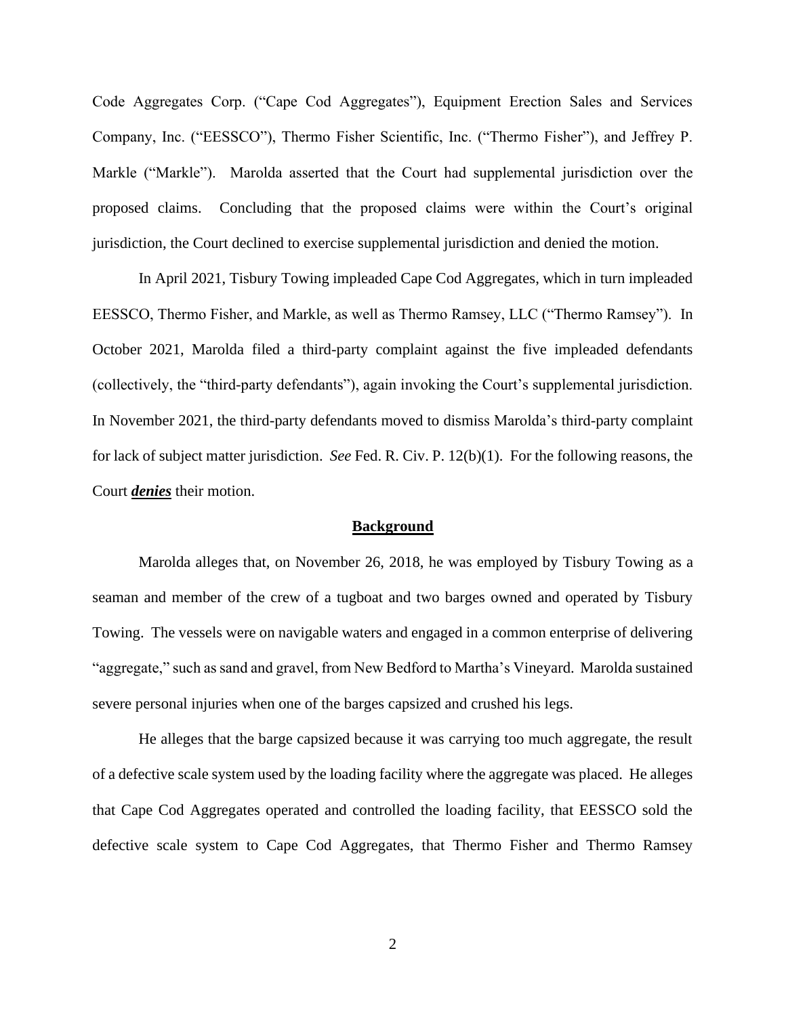Code Aggregates Corp. ("Cape Cod Aggregates"), Equipment Erection Sales and Services Company, Inc. ("EESSCO"), Thermo Fisher Scientific, Inc. ("Thermo Fisher"), and Jeffrey P. Markle ("Markle"). Marolda asserted that the Court had supplemental jurisdiction over the proposed claims. Concluding that the proposed claims were within the Court's original jurisdiction, the Court declined to exercise supplemental jurisdiction and denied the motion.

In April 2021, Tisbury Towing impleaded Cape Cod Aggregates, which in turn impleaded EESSCO, Thermo Fisher, and Markle, as well as Thermo Ramsey, LLC ("Thermo Ramsey"). In October 2021, Marolda filed a third-party complaint against the five impleaded defendants (collectively, the "third-party defendants"), again invoking the Court's supplemental jurisdiction. In November 2021, the third-party defendants moved to dismiss Marolda's third-party complaint for lack of subject matter jurisdiction. *See* Fed. R. Civ. P. 12(b)(1). For the following reasons, the Court *denies* their motion.

#### **Background**

Marolda alleges that, on November 26, 2018, he was employed by Tisbury Towing as a seaman and member of the crew of a tugboat and two barges owned and operated by Tisbury Towing. The vessels were on navigable waters and engaged in a common enterprise of delivering "aggregate," such as sand and gravel, from New Bedford to Martha's Vineyard. Marolda sustained severe personal injuries when one of the barges capsized and crushed his legs.

He alleges that the barge capsized because it was carrying too much aggregate, the result of a defective scale system used by the loading facility where the aggregate was placed. He alleges that Cape Cod Aggregates operated and controlled the loading facility, that EESSCO sold the defective scale system to Cape Cod Aggregates, that Thermo Fisher and Thermo Ramsey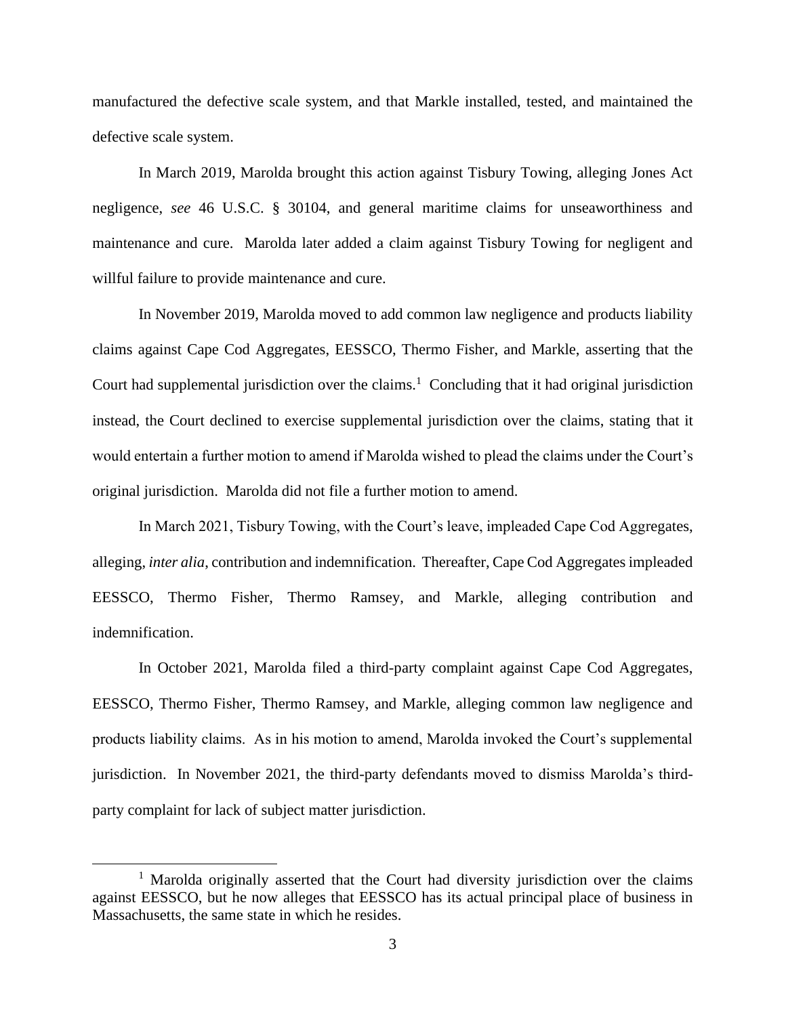manufactured the defective scale system, and that Markle installed, tested, and maintained the defective scale system.

In March 2019, Marolda brought this action against Tisbury Towing, alleging Jones Act negligence, *see* 46 U.S.C. § 30104, and general maritime claims for unseaworthiness and maintenance and cure. Marolda later added a claim against Tisbury Towing for negligent and willful failure to provide maintenance and cure.

In November 2019, Marolda moved to add common law negligence and products liability claims against Cape Cod Aggregates, EESSCO, Thermo Fisher, and Markle, asserting that the Court had supplemental jurisdiction over the claims.<sup>1</sup> Concluding that it had original jurisdiction instead, the Court declined to exercise supplemental jurisdiction over the claims, stating that it would entertain a further motion to amend if Marolda wished to plead the claims under the Court's original jurisdiction. Marolda did not file a further motion to amend.

In March 2021, Tisbury Towing, with the Court's leave, impleaded Cape Cod Aggregates, alleging, *inter alia*, contribution and indemnification. Thereafter, Cape Cod Aggregates impleaded EESSCO, Thermo Fisher, Thermo Ramsey, and Markle, alleging contribution and indemnification.

In October 2021, Marolda filed a third-party complaint against Cape Cod Aggregates, EESSCO, Thermo Fisher, Thermo Ramsey, and Markle, alleging common law negligence and products liability claims. As in his motion to amend, Marolda invoked the Court's supplemental jurisdiction. In November 2021, the third-party defendants moved to dismiss Marolda's thirdparty complaint for lack of subject matter jurisdiction.

<sup>&</sup>lt;sup>1</sup> Marolda originally asserted that the Court had diversity jurisdiction over the claims against EESSCO, but he now alleges that EESSCO has its actual principal place of business in Massachusetts, the same state in which he resides.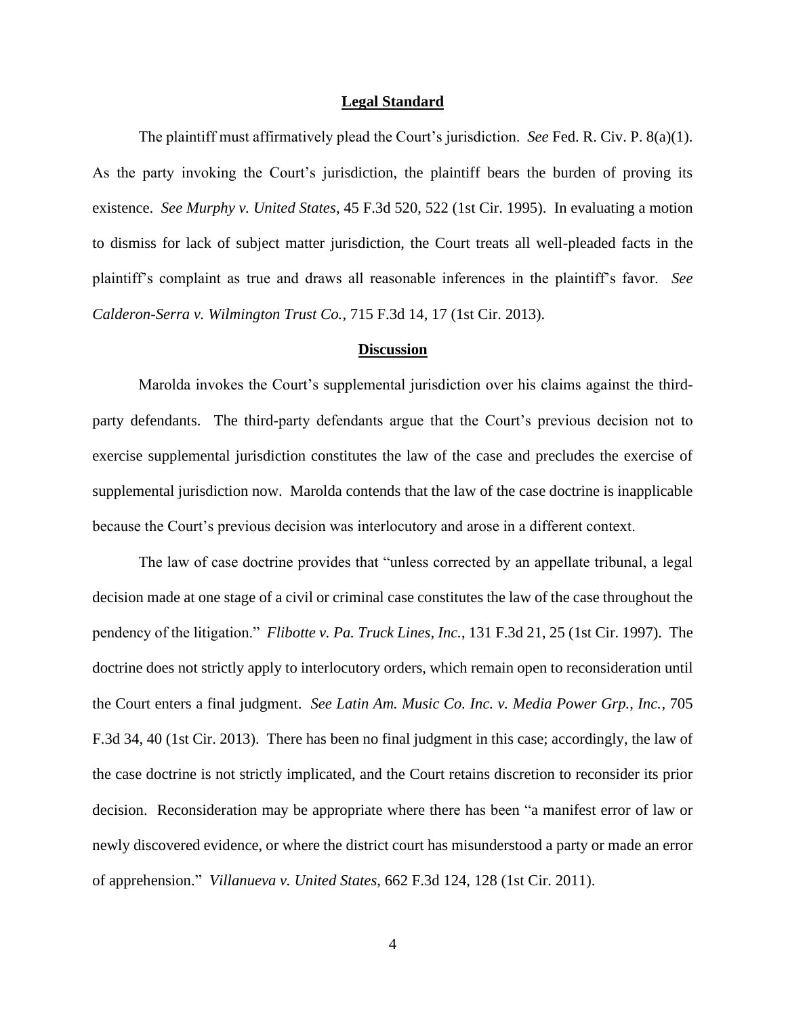#### **Legal Standard**

The plaintiff must affirmatively plead the Court's jurisdiction. *See* Fed. R. Civ. P. 8(a)(1). As the party invoking the Court's jurisdiction, the plaintiff bears the burden of proving its existence. *See Murphy v. United States*, 45 F.3d 520, 522 (1st Cir. 1995). In evaluating a motion to dismiss for lack of subject matter jurisdiction, the Court treats all well-pleaded facts in the plaintiff's complaint as true and draws all reasonable inferences in the plaintiff's favor. *See Calderon-Serra v. Wilmington Trust Co.*, 715 F.3d 14, 17 (1st Cir. 2013).

## **Discussion**

Marolda invokes the Court's supplemental jurisdiction over his claims against the thirdparty defendants. The third-party defendants argue that the Court's previous decision not to exercise supplemental jurisdiction constitutes the law of the case and precludes the exercise of supplemental jurisdiction now. Marolda contends that the law of the case doctrine is inapplicable because the Court's previous decision was interlocutory and arose in a different context.

The law of case doctrine provides that "unless corrected by an appellate tribunal, a legal decision made at one stage of a civil or criminal case constitutes the law of the case throughout the pendency of the litigation." *Flibotte v. Pa. Truck Lines, Inc.*, 131 F.3d 21, 25 (1st Cir. 1997). The doctrine does not strictly apply to interlocutory orders, which remain open to reconsideration until the Court enters a final judgment. *See Latin Am. Music Co. Inc. v. Media Power Grp., Inc.*, 705 F.3d 34, 40 (1st Cir. 2013). There has been no final judgment in this case; accordingly, the law of the case doctrine is not strictly implicated, and the Court retains discretion to reconsider its prior decision. Reconsideration may be appropriate where there has been "a manifest error of law or newly discovered evidence, or where the district court has misunderstood a party or made an error of apprehension." *Villanueva v. United States*, 662 F.3d 124, 128 (1st Cir. 2011).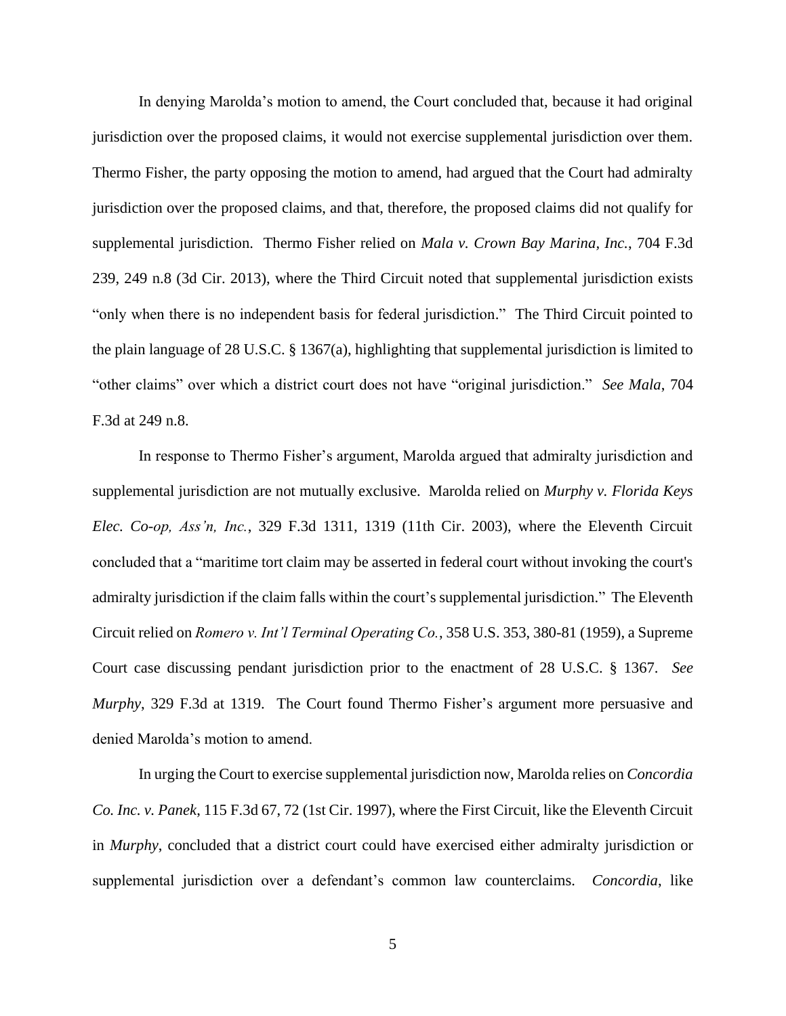In denying Marolda's motion to amend, the Court concluded that, because it had original jurisdiction over the proposed claims, it would not exercise supplemental jurisdiction over them. Thermo Fisher, the party opposing the motion to amend, had argued that the Court had admiralty jurisdiction over the proposed claims, and that, therefore, the proposed claims did not qualify for supplemental jurisdiction. Thermo Fisher relied on *Mala v. Crown Bay Marina, Inc.*, 704 F.3d 239, 249 n.8 (3d Cir. 2013), where the Third Circuit noted that supplemental jurisdiction exists "only when there is no independent basis for federal jurisdiction." The Third Circuit pointed to the plain language of 28 U.S.C. § 1367(a), highlighting that supplemental jurisdiction is limited to "other claims" over which a district court does not have "original jurisdiction." *See Mala*, 704 F.3d at 249 n.8.

In response to Thermo Fisher's argument, Marolda argued that admiralty jurisdiction and supplemental jurisdiction are not mutually exclusive. Marolda relied on *Murphy v. Florida Keys Elec. Co-op, Ass'n, Inc.*, 329 F.3d 1311, 1319 (11th Cir. 2003), where the Eleventh Circuit concluded that a "maritime tort claim may be asserted in federal court without invoking the court's admiralty jurisdiction if the claim falls within the court's supplemental jurisdiction." The Eleventh Circuit relied on *Romero v. Int'l Terminal Operating Co.*, 358 U.S. 353, 380-81 (1959), a Supreme Court case discussing pendant jurisdiction prior to the enactment of 28 U.S.C. § 1367. *See Murphy*, 329 F.3d at 1319. The Court found Thermo Fisher's argument more persuasive and denied Marolda's motion to amend.

In urging the Court to exercise supplemental jurisdiction now, Marolda relies on *Concordia Co. Inc. v. Panek*, 115 F.3d 67, 72 (1st Cir. 1997), where the First Circuit, like the Eleventh Circuit in *Murphy*, concluded that a district court could have exercised either admiralty jurisdiction or supplemental jurisdiction over a defendant's common law counterclaims. *Concordia*, like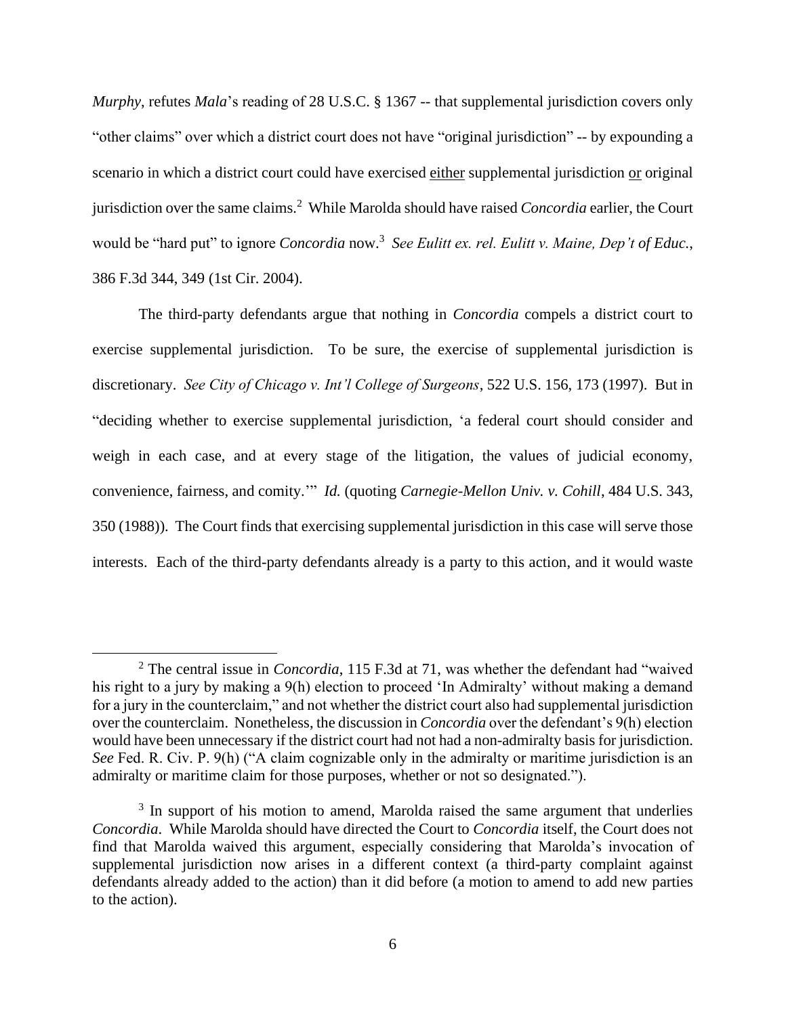*Murphy*, refutes *Mala*'s reading of 28 U.S.C. § 1367 -- that supplemental jurisdiction covers only "other claims" over which a district court does not have "original jurisdiction" -- by expounding a scenario in which a district court could have exercised either supplemental jurisdiction or original jurisdiction over the same claims.<sup>2</sup> While Marolda should have raised *Concordia* earlier, the Court would be "hard put" to ignore *Concordia* now.<sup>3</sup> *See Eulitt ex. rel. Eulitt v. Maine, Dep't of Educ.*, 386 F.3d 344, 349 (1st Cir. 2004).

The third-party defendants argue that nothing in *Concordia* compels a district court to exercise supplemental jurisdiction. To be sure, the exercise of supplemental jurisdiction is discretionary. *See City of Chicago v. Int'l College of Surgeons*, 522 U.S. 156, 173 (1997). But in "deciding whether to exercise supplemental jurisdiction, 'a federal court should consider and weigh in each case, and at every stage of the litigation, the values of judicial economy, convenience, fairness, and comity.'" *Id.* (quoting *Carnegie-Mellon Univ. v. Cohill*, 484 U.S. 343, 350 (1988)). The Court finds that exercising supplemental jurisdiction in this case will serve those interests. Each of the third-party defendants already is a party to this action, and it would waste

<sup>2</sup> The central issue in *Concordia*, 115 F.3d at 71, was whether the defendant had "waived his right to a jury by making a 9(h) election to proceed 'In Admiralty' without making a demand for a jury in the counterclaim," and not whether the district court also had supplemental jurisdiction over the counterclaim. Nonetheless, the discussion in *Concordia* over the defendant's 9(h) election would have been unnecessary if the district court had not had a non-admiralty basis for jurisdiction. *See* Fed. R. Civ. P. 9(h) ("A claim cognizable only in the admiralty or maritime jurisdiction is an admiralty or maritime claim for those purposes, whether or not so designated.").

<sup>&</sup>lt;sup>3</sup> In support of his motion to amend, Marolda raised the same argument that underlies *Concordia*. While Marolda should have directed the Court to *Concordia* itself, the Court does not find that Marolda waived this argument, especially considering that Marolda's invocation of supplemental jurisdiction now arises in a different context (a third-party complaint against defendants already added to the action) than it did before (a motion to amend to add new parties to the action).